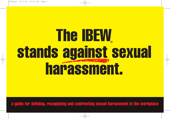# **The IBEW**® **stands against sexual harassment.**

**a guide for defining, recognizing and confronting sexual harassment in the workplace**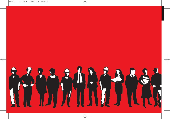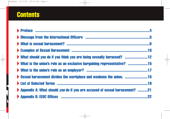# **Contents**

€

| ▶ What should you do if you think you are being sexually harassed? 12      |  |
|----------------------------------------------------------------------------|--|
| ▶ What is the union's role as an exclusive bargaining representative? 15   |  |
|                                                                            |  |
| Sexual harassment divides the workplace and weakens the union. 18          |  |
| ▶ List of Selected Terms …………………………………………………………………………………………19              |  |
| Appendix A: What should you do if you are accused of sexual harassment? 21 |  |
|                                                                            |  |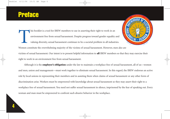# **Preface**

This booklet is a tool for IBEW members to use in asserting their right to work in an environment free from sexual harassment. Despite progress toward gender equality valuing diversity, sexual harassment continues to be a environment free from sexual harassment. Despite progress toward gender equality and valuing diversity, sexual harassment continues to be a societal problem in all industries. Women constitute the overwhelming majority of the victims of sexual harassment. However, men also are victims of sexual harassment. Our intent is to present helpful information to **all** IBEW members so that they may exercise their

right to work in an environment free from sexual harassment.

Although it is the **employer's obligation** under the law to maintain a workplace free of sexual harassment, all of us—women and men, union and management—must work together to eliminate sexual harassment. In this regard, the IBEW endorses an active role by local unions in representing their members and in assisting them when claims of sexual harassment or any other form of discrimination arise. Workers must be empowered with knowledge about sexual harassment so they may assert their right to a workplace free of sexual harassment. You need not suffer sexual harassment in silence, imprisoned by the fear of speaking out. Every woman and man must be empowered to confront such abusive behavior in the workplace.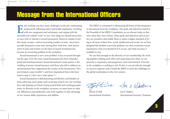# **Message from the International Officers**

ach workday you face many challenges on the job: maintaining<br>productivity, following safety and health regulations, wrestling<br>with new equipment and techniques, and coping with the<br>inevitable job-related "crisis" or two. O productivity, following safety and health regulations, wrestling with new equipment and techniques, and coping with the inevitable job-related "crisis" or two. One thing you should never have to cope with or tolerate is sexual harassment. However, studies reveal that many women—and an increasing number of men—have been sexually harassed at some time during their work lives. And, harassment of men and women on the basis of sexual orientation has become an increasing problem in the workplace.

Sexual harassment is not a new problem. It has occurred throughout the ages. Over the years sexual harassment has been misunderstood and mischaracterized. Sexual harassment's main motive is the wielding of power. Sexual harassers and those who fail to address sexual harassment have stigmatized the victims of the harassment ("he's just trying to cause trouble"), and have stigmatized those who have tried to stop it ("she's not a team player").

Sexual harassment is dehumanizing and divisive, and hinders us from achieving career goals, such as having control over our working lives and shaping our future, being treated fairly and working productively. As diversity in the workplace increases, we must learn to value our differences and similarities, and work together to take advantage of our various skills, experiences and abilities.

The IBEW is committed to eliminating all forms of discrimination or harassment from the workplace. The goals and objectives stated in the Preamble of the IBEW Constitution are as relevant today as they were when they were written. These goals and objectives seek to protect our members and enable them to attain a higher standard of living in all areas of their lives: social, intellectual and moral. So, we have designed this booklet to provide guidance on what constitutes sexual harassment, what you should do if it occurs, and what recourse is available to you.

We can find strength in the diversity of our membership. By working together, helping each other and respecting each other, we can promote a cooperative and progressive work environment. Diversity in the workplace is nothing to fear. In fact, it can provide the strength we need to organize and to build the IBEW to meet the challenges of the global marketplace in the 21st century.

Edwin D. Hill Jon F. Walters

Im J. Walters

International President International Secretary-Treasurer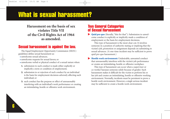# **What is sexual harassment?**

### **Harassment on the basis of sex violates Title VII of the Civil Rights Act of 1964 as amended.**

### **Sexual harassment is against the law.**

The Equal Employment Opportunity Commission (EEOC) guidelines define sexual harassment as:

- **•** unwelcome sexual advances;
- **•** unwelcome requests for sexual favors; or
- **•** unwelcome verbal or physical conduct of a sexual nature when:
- **1.** submission to such conduct is made either explicitly or implicitly a term or condition of employment;
- **2.** submission to or rejection of such conduct by an individual is the basis for employment decisions adversely affecting such individual; or
- **3.** such conduct has the purpose or effect of unreasonably interfering with an individual's work performance or creating an intimidating, hostile or offensive work environment.

### **Two General Categories of Sexual Harassment**

**Quid pro quo** (literally, "this for that"): Submission to unwelcome conduct is explicitly or implicitly made a condition of employment or the basis for employment decisions. ▲

This type of harassment is the most clear-cut. It involves someone in a position of authority stating or implying that the victim's job, promotion or assignment depends on submitting to sexual advances. (A one-time incident may be sufficient to prove quid pro quo harassment.)

**Hostile work environment:** Undesirable, unwanted conduct ▲ that unreasonably interferes with the victim's job performance or creates an intimidating, hostile or offensive workplace.

This type of harassment can occur when a supervisor or co-worker harasses someone solely because of gender. Such harassment makes it difficult for the victim to perform his or her job and creates an intimidating, hostile or offensive working environment. Normally, incidents must be persistent to prove a hostile work environment. However, a single serious incident may be sufficient to create a hostile work environment.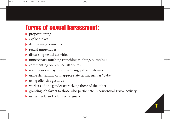# **Forms of sexual harassment:**

- ▶ propositioning
- ▶ explicit jokes
- demeaning comments ▲
- sexual innuendoes ▲
- discussing sexual activities ▲
- unnecessary touching (pinching, rubbing, bumping) ▲
- commenting on physical attributes ▲
- ▶ reading or displaying sexually suggestive materials
- using demeaning or inappropriate terms, such as "babe" ▲
- ▶ using offensive gestures
- ▶ workers of one gender ostracizing those of the other
- granting job favors to those who participate in consensual sexual activity ▲

**7**

▶ using crude and offensive language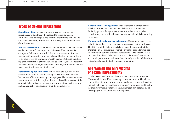### **Types of Sexual Harassment**

**Sexual favoritism:** Incidents involving a supervisor playing favorites, rewarding those who respond to sexual advances. Employees who do not go along with the supervisor's demand and are denied pay raises, promotions or the best job assignments may claim harassment.

**Indirect harassment:** An employee who witnesses sexual harassment on the job, but isn't the target, can claim sexual harassment. For example, a California court ruled that an "environment of sexual harassment" was created by a boss who grabbed workers in full view of an employee who ultimately brought charges. Although the charging employee was not directly harassed by the boss, she was adversely impacted by his actions, which created a hostile, intimidating environment in which she was required to work.

**Harassment by nonemployees:** In both quid pro quo and hostile environment cases, the employer may be held responsible for the harassment of its employees by nonemployees, like vendors, contractors or customers, if the employer knew or should have known of the conduct, failed to take immediate and appropriate corrective action, and has control or responsibility over the nonemployee.

**Harassment based on gender:** Behavior that is not overtly sexual, which is directed at a woman explicitly because she is a woman. Profanity, pranks, derogatory comments or other inappropriate behavior may be considered sexual harassment when it is based solely on gender.

**Harassment based on sexual orientation:** Harassment based on sexual orientation has become an increasing problem in the workplace. The EEOC and the federal courts have taken the position that discrimination based on sexual orientation violates Title VII when the discrimination consists of sexual stereotyping – "He doesn't act like a real man should act"; "She dresses and acts like a man." Some state and municipal anti-discrimination laws broadly prohibit all discrimination based on an individual's sexual orientation.

### **Are women the only victims of sexual harassment?**

The majority of cases involve the sexual harassment of women. However, victims and harassers may be women or men. The victim does not have to be of the opposite sex and may be anyone directly or indirectly affected by the offensive conduct. The harasser could be the victim's supervisor, a supervisor in another area, any other agent of the employer, a co-worker or a nonemployee.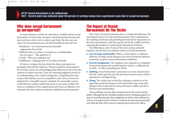▲

### **MYTH: Sexual harassment is not widespread.**

**FACT: Several polls have indicated about 50 percent of working women have experienced some kind of sexual harassment.**

### **Why does sexual harassment go unreported?**

In many instances, victims are reluctant to complain about sexual harassment. A victim may not report sexual harassment because she does not know what to do or where to get help. She also may not report the harassment because she feels humiliated and may fear:

- **•** Retaliation: loss of promotion; less desirable assignments; loss of job.
- **•** Ridicule from co-workers: treatment as a troublemaker; loss of respect – "She asked for it."
- **•** Doubt: "She's just making it up."
- Indifference: being ignored or not taken seriously.

It's time to conquer the fear, break the silence and speak out promptly about abusive behavior. Women should be encouraged by the fact that courts are acknowledging that differences exist in the perception of women and men. They are returning judgments based on an understanding of the victim's perspective, recognizing that what women find offensive may be acceptable to men. Some courts have adopted the "reasonable woman" standard: If a reasonable woman would find the conduct sufficiently severe or pervasive to affect the terms or conditions of her employment and create an offensive environment, then the conduct constitutes unlawful sexual harassment.

### **The Impact of Sexual Harassment On The Victim**

The victim of sexual harassment faces a complicated dilemma. She is pressured to give in to the sexual harassment. She is distressed by the resulting emotional and psychological turmoil she experiences in the work environment. And she may be torn by the conflict between reporting the incident or enduring the harassment in silence.

The following is a list of some of the most serious unlawful employer actions that can confront victims of sexual harassment.

- **1. Loss of wages and benefits.** When a victim objects to offensive behavior or resists sexual advances, she may be demoted, denied a promotion or given a poor performance evaluation.
- **2. Forced reassignment.** The employer may respond to a complaint of sexual harassment by transferring the victim to a different job or shift— in effect, punishing the victim.
- **3. Quitting.** Sexual harassment can become so severe and pervasive that the victim quits her job. She has been forced to leave, which is equivalent to an illegal firing.
- **4. Firing.** The victim may be fired for refusing to submit to or for reporting sexual harassment, or the harassment may cause such distress to the victim that her job performance suffers and she is fired for poor performance.

These problems can have dire consequences for the victim and her family.Although the law prohibits employers from retaliating against victims of sexual harassment, these indignities are all too often inflicted on victims. It is important for victims to confront the harassment promptly and enlist the help of the union in resisting these destructive effects.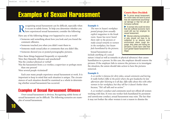# **Examples of Sexual Harassment**

Recognizing sexual harassment can be difficult, especially when it occurs in subtle forms. To help you determine whether you have experienced sexual harassment, consider the following: it occurs in subtle forms. To help you determine whether you have experienced sexual harassment, consider the following:

Have any of the following things ever happened to you at work?

- **•** Someone said something about how you look and you found the comment offensive.
- **•** Someone touched you when you didn't want them to.
- **•** Someone made sexual jokes or comments that you didn't like.
- **•** Someone showed you or posted pornographic pictures.

Have these things happened frequently or repeatedly? Were they blatantly offensive and unsolicited?

Was the conduct physical or verbal?

Was the harassment from a co-worker, a supervisor or perhaps more than one person?

Were several people victimized?

Each year many people experience sexual harassment at work. It is important to keep in mind that each situation is unique. The circumstances of each situation should be examined as a whole in determining whether sexual harassment has occurred.

### **Examples of Sexual Harassment Offenses**

Overt sexual harassment is obvious. Recognizing subtle forms of sexual harassment can be difficult. The following scenarios are examples of sexual harassment.

### **Example 1:**

*The men in Susan's workplace posted pinups from sexually explicit magazines in the break room. Susan has never heard them refer to the pictures or make sexual remarks to women in the workplace, but Susan feels humiliated by the pictures.*

Sexual harassment can include anything of a sexual

### **Courts Have Decided:**

▶ To prove sexual harassment, the victim does not have to prove that she experienced psychological damage or that her job performance suffered.

▶ A woman who could not show that she suffered economic harm could still sue her employer for sexual harassment.

Women entering nontradition-▲ al jobs should not have to be subjected to an abusive work environment where rough language, dirty jokes and hazing are pervasive. Courts have ruled that such gender-based harassment is illegal.

nature (visual as well as remarks or physical advances) that causes humiliation to a person. In this case, the employer should remove the pictures. If the employer fails to remove the pictures or to investigate the situation, the union should take action to have the pictures removed.

#### **Example 2:**

*A co-worker is famous for dirty jokes, sexual comments and leering. It really bothers Effie to the point where she gets headaches by late afternoon after listening to it all day. Effie talks about this with other women in her workplace; but they tell her it doesn't bother them because, "He's all talk and no action."*

A co-worker's conduct and comments need not offend all women working with him. If even one worker feels humiliated by persistent and unwelcome conduct, sexual harassment may exist. The fact that it may not bother the other women is not a reason to dismiss the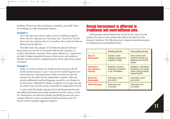problem. Women are often reluctant to complain, especially if they are working in a male-dominated industry.

#### **Example 3:**

*One male supervisor always makes a point of rubbing up against Mary when he walks past her. He always says, "Excuse me," but the look on his face indicates that it's no accident. Mary finds his behavior demeaning and offensive.*

This falls under the category of "unwelcome physical advance" from anyone on the job or associated with the job (superior, coworker, subordinate, customer, client, union official, etc.). Supervisors are held to higher standards because of their power and authority. Workers may be afraid to complain because of the supervisor's power over them.

#### **Example 4:**

*Kathy's co-worker said that she should not have been given the dispatcher position because it was a man's job. He made derogatory comments about her work performance which were heard by other dispatchers over the radio. He also subjected her to pranks. Other dispatchers deliberately used lewd language around her even though she let them know it offended her. Kathy's complaints to her supervisor did not result in any corrective action. Eventually she resigned from her job.*

A court ruled that Kathy experienced sexual harassment because she suffered persistent and hostile treatment from her male co-workers. Harassment was directed at Kathy specifically because she was a woman. Behavior can be considered sexual harassment even if it doesn't involve sexually suggestive behavior.

### **Sexual harassment is different in traditional and nontraditional jobs.**

Unfortunately, sexual harassment occurs in every type of work setting. The type of work setting often affects the pattern of the harasser's behavior. The following chart compares sexual harassment in traditional and nontraditional jobs.

|                                                | <b>Traditional Jobs</b>                                                  | <b>Nontraditional Jobs</b>                                                                          |
|------------------------------------------------|--------------------------------------------------------------------------|-----------------------------------------------------------------------------------------------------|
| <b>Type of</b><br>harassment                   | Typically, sexual<br>language, gestures and<br>requests for dates        | Clearly abusive and<br>hostile comments and<br>deliberate and harmful<br>actions                    |
| <b>Outcome</b> if<br>harassment is<br>rejected | Retaliation: threat of<br>losing pay, promotions<br>or job; intimidation | Retaliation: intimidation;<br>demeaning work assign-<br>ments; physical danger;<br>frequent layoffs |
| <b>Motive for</b><br>harassment                | Dominance, power<br>and control                                          | Dominance, power<br>and control                                                                     |
| <b>Who is harasser</b>                         | Supervisors and<br>co-workers                                            | Supervisors and<br>co-workers                                                                       |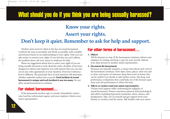# **What should you do if you think you are being sexually harassed?**

# **Know your rights. Assert your rights.**

### **Don't keep it quiet. Remember to ask for help and support.**

Workers must never be silent in the face of sexual harassment. Confront the issue as promptly and firmly as possible, with a healthy assertiveness based on an understanding of your rights. Only you can take action to exercise your rights. If you feel that you can't address the problem alone, ask your union or employer for help.

Below are suggestions about how to assert your rights if you are being sexually harassed at work. Read the entire checklist. It has been designed to inform and empower you with options that you can exercise in any order appropriate in your situation. Everyone's tolerance level is different. The particular facts of each situation will determine whether unlawful conduct has occurred. **Each incident of sexual harassment is unique and each incident is one too many.** Do not allow sexual harassment to continue.

### **For violent harassment…**

If the harassment involves rape or assault, immediately contact your local law enforcement agency and your employer. Inform your union representative.

### **For other forms of harassment…**

### **1. Object!**

Tell the harasser to stop. If the harassment continues, inform your employer in writing, and keep a copy for your records. Inform your shop steward or another union representative.

### **2. Document the harassment.**

Harassers are typically repeaters, so keep notes about each event if the harassment continues. Note dates, times, places, what was said or done, and names of witnesses. Keep these notes at home; they can be useful if you decide to take further action. Also keep your performance evaluations; they could help you if the harasser questions your job performance to divert the issue.

### **3. Talk to co-workers and your union representative.**

Victims need support while confronting the indignity of sexual harassment. Women experience physical and psychological side effects including depression, headaches, ulcers, nausea, and sleeplessness. Take care of yourself and get support from your friends, co-workers, and the union. Talk frankly with your union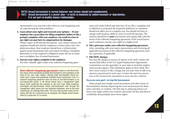▲

**MYTH: Sexual harassment is normal behavior and victims should feel complimented. FACT: Sexual harassment is a power play—a tactic to dominate by embarrassment or degradation. It is not part of healthy human relationships.**

representative; you may learn that others in your bargaining unit are experiencing the same problems.

**4. Learn about your rights and research your options— If your employer has a procedure for filing complaints, failure to file a prompt complaint with your employer can result in a loss of any right you may have to compensation for damages.**

Obtain copies of all relevant documents: your union contract, the employee handbook, and the employer's written policy and complaint procedure. Your employer should have a written policy against sexual harassment and a procedure for filing a complaint. Remember, it is the employer's obligation under the law to maintain a workplace free of sexual harassment.

**5. Exercise your rights; complain to the employer.**

You have valuable rights under your collective bargaining agree-

**Most collective bargaining agreements** contain an anti-discrimination clause which specifically prohibits discrimination in the workplace on the basis of sex, race, color, religion, national origin and disability. Some contracts have a clause that specifically prohibits sexual harassment. Even if a collective bargaining agreement does not have an anti-discrimination or an anti-harassment clause, it will almost always have a management rights clause which authorizes the employer to set work rules. Most employers promulgate anti-discrimination and/or anti-harassment rules through the management rights clause and may discipline employees, even to the point of discharge, for violating these rules. The work rules provide a basis for discipline and also for a grievance by an employee who alleges sexual harassment by a supervisor or co-worker.

ment and under federal and state laws. If you file a complaint and a settlement is proposed, the proposed settlement or resolution should not affect you in a negative way. You should not have to change work location, shifts or crews to avoid the harasser. The solution should be in **your** best interest and comply fully with the terms of the collective bargaining agreement. If the sexual harassment continues, exercise your rights at a higher level.

### **6. File a grievance under your collective bargaining agreement.** After consulting with your union representative and reviewing all applicable provisions of the collective bargaining agreement, initiate a grievance, if applicable.

### **7. File EEOC charges.**

You may file charges in person, by phone or by mail. Contact the nearest field office of the U.S. Equal Employment Opportunity Commission (see the appendix) or your state or local fair employment practice agency. Time limitations apply, so don't delay. You don't need a lawyer to file a charge, but you may want to talk to an attorney experienced in such cases. Contact the state bar association or the women's bar association in your area for a referral.

#### **Focus on your goal—to stop the harassment.**

Many people have fought sexual harassment and other forms of discrimination, thereby improving the work environment for themselves and their co-workers. The first step to achieving justice is to know your rights under your contract and under the law, and then to confidently and promptly assert those rights.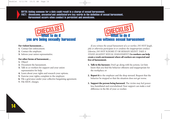▲

**MYTH: Asking someone for a date could result in a charge of sexual harassment. FACT: Unwelcome, unwanted and uninitiated are key words in the definition of sexual harassment. Harassment occurs when conduct is persistent and unwelcome.**



#### **For violent harassment…**

- **1.** Contact law enforcement.
- **2.** Contact the employer.
- **3.** Inform your union representative.

### **For other forms of harassment…**

**1.** Object!

**14**

- **2.** Document the harassment.
- **3.** Talk to co-workers for support and your union representative for help.
- **4.** Learn about your rights and research your options.
- **5.** Exercise your rights; complain to the employer.
- **6.** File a grievance under your collective bargaining agreement.
- **7.** File EEOC charges.



*If you witness the sexual harassment of a co-worker, DO NOT laugh, joke or otherwise participate in or condone the inappropriate conduct. Likewise, DO NOT IGNORE IT OR REMAIN SILENT. TAKE A STAND AGAINST SEXUAL HARASSMENT.* **Co-workers can help create a work environment where all workers are respected and free of harassment.**

- **1. Talk to the harasser.** Don't go along with his actions. Let him know that you find the behavior offensive and inappropriate for the workplace; or
- **2. Report it** to the employer and the shop steward. Request that the behavior be stopped so that the situation does not get worse.
- **3. Support the person being harassed.** The victim may feel powerless, humiliated and overwhelmed. Your support can make a real difference in the life of your co-worker.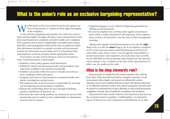### **What is the union's role as an exclusive bargaining representative?**

Workers look to their local union for protection against any<br>form of harassment or violation of their rights and dignit<br>as the exclusive bargaining representative the union has a duty to form of harassment or violation of their rights and dignity in the workplace.

As the exclusive bargaining representative, the union has a duty to fairly and thoroughly investigate all claims. Union representatives must take sexual harassment complaints seriously; handle such complaints with sensitivity and as much confidentiality as possible; listen sympathetically; avoid prejudgments before all the facts are gathered; ensure that information provided is accurately recorded and documented; evaluate the information in good faith; and if it is determined that harassment has occurred, promptly initiate appropriate action.

Local unions can take several actions to create an environment where sexual harassment is discouraged:

- **•** Establish a union policy against sexual harassment.
- **•** Publish the union's anti-harassment policy and procedures, and make them available to the members periodically.
- **•** Establish a procedure within the union to handle sexual harassment complaints and/or grievances.
- **•** Designate and train two representatives to properly handle complaints, investigations and grievances.
- **•** Tell employees who in the local union is responsible for receiving and investigating sexual harassment complaints.
- **•** Educate the membership about the issue through workshops, speakers, distribution of literature, etc.
- **•** Determine the extent of the problem. An anonymous survey of the membership may be useful, but the confidentiality of information received must be assured.
- **•** Negotiate language in your collective bargaining agreement prohibiting sexual harassment.
- **•** Be sure the employer has a written policy against sexual harassment which is widely distributed to all employees. If the employer does not have a formal policy, raise the issue in labor/management meetings.

Taking action against unlawful harassment is not only the **right** thing to do, it is also the **smart** thing to do. If an employee complains to her or his local union about unlawful harassment and the local union fails to take steps to stop it, even though the responsibility to prevent harassment is the employer's, the local union may nevertheless be held liable for the harassment under federal and state discrimination statutes or for a violation of the duty of fair representation. In either case, the results can be costly.

### **What is the shop steward's role?**

Shop stewards are usually the first contact members have with the local union. Shop stewards must lead by example to promote a work environment where dignity and respect are afforded all workers. Members need to feel confident that the steward will represent them fairly. To effectively represent workers who report harassment, stewards must be trained to understand the victim's dilemma, to take sexual harassment complaints seriously and to handle the complaints with sensitivity.

Shop stewards must remain objective and impartial as they process the sexual harassment complaint. Confidentiality is an important aspect of this process, since reputations and livelihoods are at stake.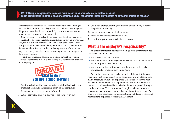▲

### **MYTH: Giving a compliment to someone could result in an accusation of sexual harassment. FACT: Compliments in general are not considered sexual harassment unless they become an unwanted pattern of behavior.**

Stewards should restrict all information obtained in the handling of the complaint to those with a legitimate need to know. By doing these things, the steward will, by example, help create a work environment where sexual harassment is not tolerated.

Stewards may also be asked to represent an alleged harasser, since at least half of all sexual harassment complaints involve co-workers. At best, this is a difficult situation—one which can create havoc in the workplace and undermine solidarity within the union when both parties are members. Because of the conflicting interests of the parties, it may be necessary to assign another union representative to represent the alleged harasser.

The IBEW offers anti-harassment training through its Human Services Department, New Business Manager Orientation and steward training programs.



- **1.** Get the facts about the incident. Listen carefully. Be objective and impartial. Recognize the sensitive nature of the complaint.
- **2.** Document and retain pertinent information.
- **3.** Advise the victim to keep a diary or log of each occurrence.
- **4.** Conduct a prompt, thorough and fair investigation. Try to resolve the problem informally.
- **5.** Inform the employer and the local union.
- **6.** Try to stop any harassment you observe.
- **7.** If the investigation warrants it, file a grievance.

### **What is the employer's responsibility?**

An employer is responsible for providing a work environment free of harassment and for the:

- **•** acts of agents and supervisors;
- **•** acts of co-workers, if management knows and fails to take prompt and appropriate corrective action;
- **•** acts of nonemployees, if management knows and fails to take prompt and appropriate corrective action.

An employer is more likely to be found legally liable if it does not have an explicit policy against sexual harassment and an effective complaint procedure available to employees. Unions can work with management to develop such written policies and procedures. These policies and procedures should be widely distributed and posted throughout the workplace. This ensures that all employees know the consequences for inappropriate conduct, their rights and their recourse. An employer is also responsible for ongoing training of its supervisory and management employees about sexual harassment.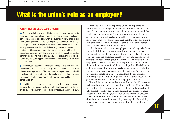# **What is the union's role as an employer?**

### **Courts and the EEOC Have Decided:**

An employer is legally responsible for the sexually harassing acts of its supervisory employees without regard to the employer's specific authorization or knowledge of such acts. Where the supervisor's harassment is tied to the granting or denial of a tangible employment action (e.g., job promotion, wage increase), the employer will be held liable. Where a supervisor's sexually harassing behavior is not tied to a tangible employment action, but creates a hostile work environment, the employer can avoid liability only if it can prove it exercised reasonable care to prevent and promptly correct the behavior, and the employee unreasonably failed to take advantage of the preventive and corrective opportunities offered by the employer, or to avoid harm otherwise.

An employer is legally responsible for the harassing acts of its nonsuper-▲ visory employees and of third parties (e.g., vendors who visit the premises) where the employer or one of its supervisory employees knows or should have known of the conduct, unless the employer or supervisor has taken responsible steps to prevent harassment from occurring and takes prompt corrective action.

In addition to compensatory damages, punitive damages may be awarded where the employer acted willfully or with reckless disregard for the victim's legal rights (i.e., knew or suspected that the act was a violation of law).

With respect to its own employees, unions as employers are responsible for providing a union work environment free of harassment. In its capacity as an employer, a local union can be held liable just like any other employer. Thus, the union is responsible for the acts of its supervisors. It is also responsible for harassment by nonsupervisory employees and by third parties, if the union or a supervisory employee of the union knows, or should know, of the harassment but fails to take prompt corrective action.

A local union, in its role as an employer, is more likely to be found legally liable if it does not have an explicit policy against sexual harassment and an effective complaint procedure available to employees. The policy and procedure should be widely and periodically distributed and posted throughout the workplace. This ensures that all employees know the consequences of inappropriate conduct, their rights and their recourse. In addition, meetings should be held with all local union employees who supervise other employees, including the local union business manager and other officers. The purpose of the meetings should be to impress upon them the importance of complying with the local union policy. The local union should investigate all complaints of harassment thoroughly and promptly.

To the fullest extent practicable, the local union should keep complaints and the terms of their resolution confidential. If an investigation confirms that harassment has occurred, the local union should take prompt corrective action, including such discipline as is appropriate up to and including termination of employment. Obviously, where a union officer is accused of sexual harassment, that officer should not be involved in investigating the complaint, determining whether harassment has occurred, or deciding what discipline to impose.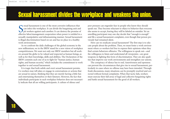## **Sexual harassment divides the workplace and weakens the union.**

Sexual harassment is one of the most corrosive influences that<br>
can infect the workplace. It can divide the bargaining unit and<br>
pit workers against each another. It can destroy the promise of<br>
effective labor/management c exual harassment is one of the most corrosive influences that can infect the workplace. It can divide the bargaining unit and pit workers against each another. It can destroy the promise of sexually manipulative and dehumanizing manner. Sexual harassment is illegal discrimination based on sex and has no place in a healthy work environment.

As we confront the daily challenges of the global economy in the new millennium, we in the IBEW stand for a new vision of workplace competitiveness. We want not only our IBEW members but all workers around the globe to be valued and respected as human beings, as well as for their knowledge, skills and abilities. The Declaration of the IBEW commits each one of us to fight for "human justice, human rights, and human security," which includes the commitment to work together to end sexual harassment.

It is tragic that both subtle and overt sexual harassment persists. Co-workers may tell jokes or engage in conversations or actions that are sexual in nature, thinking that they are merely having a little fun and entertaining themselves or their listeners. However, the fact that individuals participate in such workplace behavior does not necessarily indicate that all are willing participants. A culture of silence and

peer pressure can engender fear in people who know they should speak out. They become reluctant to object to behavior that everyone else seems to accept, fearing they will be labeled an outsider. Yet an unwilling participant may one day decide that "enough is enough" and file a sexual harassment complaint, even though that person previously had remained silent.

How can we eradicate sexual harassment? The first step is to educate people about the problem. Then, we must foster a work environment where co-workers feel free to express their opinions when they find certain behaviors offensive. The willingness to speak out—and the willingness to listen and understand all viewpoints—are great weapons in fighting this form of discrimination. They are also qualities that improve our work environments and strengthen our unions.

The conspiracy of silence has to end. Assertiveness and openness can prevent the circumstances that give rise to sexual harassment, particularly in cases where no offense may have been intended. Through frank discussions, many situations can be promptly resolved and corrected without formal complaints. When that tactic fails, workers must exercise their full array of legal and collective bargaining rights and battle sexual harassment for the good of all workers.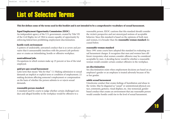# **List of Selected Terms**

**This list defines some of the terms used in this booklet and is not intended to be a comprehensive vocabulary of sexual harassment.**

### **Equal Employment Opportunity Commission (EEOC)**

An independent agency of the U.S. government, created by Title VII of the Civil Rights Act of 1964 to ensure equality of opportunity by enforcing federal laws prohibiting employment discrimination.

#### **hostile work environment**

A pattern of undesirable, unwanted conduct that is so severe and pervasive that it unreasonably interferes with the person's job performance or creates an intimidating, hostile or offensive workplace.

### **nontraditional jobs**

Occupations in which women make up 25 percent or less of the total employed.

### **quid pro quo sexual harassment**

Latin term that means "this for that." (1) Making submission to sexual demands an implicit or explicit term or condition of employment; (2) making decisions affecting someone's employment or compensation on the basis of whether the person submits to or rejects sexual demands.

#### **reasonable person standard**

A standard used by courts to judge whether certain challenged conduct and alleged hostility in the workplace would be offensive to a

reasonable person. EEOC cautions that this standard should consider the victim's perspective and not stereotyped notions of acceptable behavior. Since this standard is based on the opinions of both men and women, it is broader than the **reasonable woman standard** discussed below.

#### **reasonable woman standard**

Since 1991 some courts have adopted this standard in evaluating sexual harassment charges. It recognizes that men and women have different viewpoints; what women consider offensive may be considered acceptable by men. A deciding factor would be whether a reasonable woman would consider certain conduct offensive in the workplace.

### **sex discrimination**

Sex discrimination exists when employment decisions are based on an employee's gender or an employee is treated adversely because of his or her gender.

#### **subtle sexual harassment**

Unwelcome conduct that creates feelings of humiliation and abuse in the victim. May be disguised as "casual" or unintentional physical contact, comments, gestures, visual displays, etc. Any nonsexual, genderbased conduct that creates an environment that any reasonable person would consider hostile could rise to the level of sexual harassment.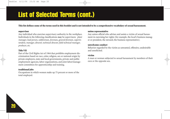# **List of Selected Terms (cont.)**

**This list defines some of the terms used in this booklet and is not intended to be a comprehensive vocabulary of sexual harassment.**

#### **supervisor**

Any individual who exercises supervisory authority in the workplace. Individuals in the following classifications **may** be supervisors: *plant manager, lead person, subforeman, foreman, general foreman, superintendent, manager, director, technical director, field technical manager, producer, etc.*

### **Title VII**

Part of the Civil Rights Act of 1964 that prohibits employment discrimination based on race, color, religion, sex or national origin by private employers, state and local governments, private and public employment agencies, labor organizations, and joint labor/management committees for apprenticeship and training.

#### **traditional jobs**

**20**

Occupations in which women make up 75 percent or more of the total employed.

#### **union representative**

Any union official who advises and assists a victim of sexual harassment in exercising her rights (for example, the local's business manager or president, the steward, the business representative).

#### **unwelcome conduct**

Behavior regarded by the victim as unwanted, offensive, undesirable and unsolicited.

#### **victim**

A man or woman subjected to sexual harassment by members of their own or the opposite sex.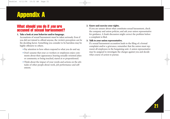# **Appendix A**

### **What should you do if you are accused of sexual harassment?**

### **1. Take a look at your behavior and/or language.**

Accusations of sexual harassment must be taken seriously. Even if you did not intend to offend anyone, the victim's perception can be the deciding factor. Something you consider to be harmless may be highly offensive to others.

- **•** Pay attention to how others respond to what you do and say.
- **•** Don't assume that your co-workers or employees enjoy comments about their appearance; hearing sexually-oriented jokes or comments; or being touched, stared at or propositioned.
- **•** Think about the impact of your words and actions on the attitudes of other people about work, job performance and selfesteem.

### **2. Know and exercise your rights.**

If you are unsure about what constitutes sexual harassment, check the company and union policies, and ask your union representative for guidance. A frank discussion might correct the problem before a complaint is filed.

### **3. Talk to your union representative.**

If a sexual harassment accusation leads to the filing of a formal complaint and/or a grievance, remember that the union must represent all employees in the bargaining unit. A union representative may be assigned to investigate the charges against you and decide what course of action to pursue.

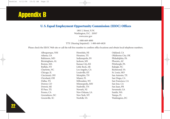# **Appendix B**

### **U. S. Equal Employment Opportunity Commission (EEOC) Offices**

1801 L Street, N.W. Washington, D.C. 20507 www.eeoc.gov

1-800-669-4000 TTY (Hearing Impaired): 1-800-669-6820

Please check the EEOC Web site or call the toll-free number to confirm office locations and obtain local telephone numbers.

Albuquerque, NM Atlanta, GA Baltimore, MD Birmingham, AL Boston, MA Buffalo, NY Charlotte, NC Chicago, IL Cincinnati, OH Cleveland, OH Dallas, TX Denver, CO Detroit, MI El Paso, TX Fresno, CA Greensboro, NC Greenville, SC

Honolulu, HI Houston, TX Indianapolis, IN Jackson, MS Kansas City, KS Little Rock, AR Los Angeles, CA Louisville, KY Memphis, TN Miami, FL Milwaukee, WI Minneapolis, MN Nashville, TN Newark, NJ New Orleans, LA New York, NY Norfolk, VA

Oakland, CA Oklahoma City, OK Philadelphia, PA Phoenix, AZ Pittsburgh, PA Raleigh, NC Richmond, VA St. Louis, MO San Antonio, TX San Diego, CA San Francisco, CA San Jose, CA San Juan, PR Savannah, GA Seattle, WA Tampa, FL Washington, DC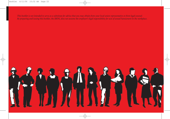*This booklet is not intended to serve as a substitute for advice that you may obtain from your local union representative or from legal counsel.* By preparing and issuing this booklet, the IBEW<sub>®</sub> does not assume the employer's legal responsibility for acts of sexual harassment in the workplace.